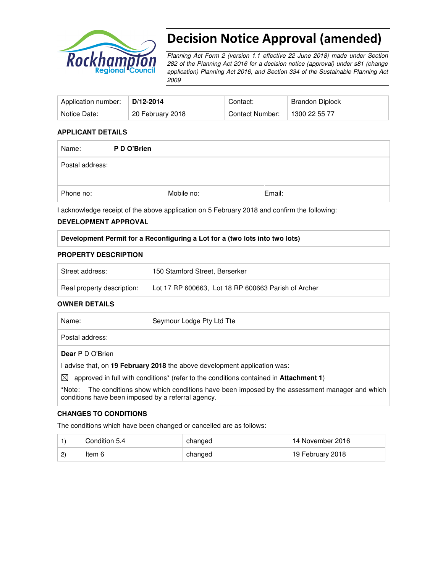

# Decision Notice Approval (amended)

Planning Act Form 2 (version 1.1 effective 22 June 2018) made under Section 282 of the Planning Act 2016 for a decision notice (approval) under s81 (change application) Planning Act 2016, and Section 334 of the Sustainable Planning Act 2009

| Application number: | $D/12 - 2014$    | Contact:        | Brandon Diplock |
|---------------------|------------------|-----------------|-----------------|
| Notice Date:        | 20 February 2018 | Contact Number: | 1300 22 55 77   |

#### **APPLICANT DETAILS**

| Name:           | P D O'Brien |            |        |  |
|-----------------|-------------|------------|--------|--|
| Postal address: |             |            |        |  |
| Phone no:       |             | Mobile no: | Email: |  |

I acknowledge receipt of the above application on 5 February 2018 and confirm the following:

#### **DEVELOPMENT APPROVAL**

#### **Development Permit for a Reconfiguring a Lot for a (two lots into two lots)**

#### **PROPERTY DESCRIPTION**

| Street address:            | 150 Stamford Street, Berserker                      |
|----------------------------|-----------------------------------------------------|
| Real property description: | Lot 17 RP 600663, Lot 18 RP 600663 Parish of Archer |

#### **OWNER DETAILS**

| Name:                   | Seymour Lodge Pty Ltd Tte                                                                                 |
|-------------------------|-----------------------------------------------------------------------------------------------------------|
| Postal address:         |                                                                                                           |
| <b>Dear</b> P D O'Brien |                                                                                                           |
|                         | I advise that, on 19 February 2018 the above development application was:                                 |
| $\bowtie$               | approved in full with conditions <sup>*</sup> (refer to the conditions contained in <b>Attachment 1</b> ) |
|                         |                                                                                                           |

**\***Note:The conditions show which conditions have been imposed by the assessment manager and which conditions have been imposed by a referral agency.

#### **CHANGES TO CONDITIONS**

The conditions which have been changed or cancelled are as follows:

|   | Condition 5.4 | changed | 14 November 2016 |
|---|---------------|---------|------------------|
| ۷ | ltem 6        | changed | 19 February 2018 |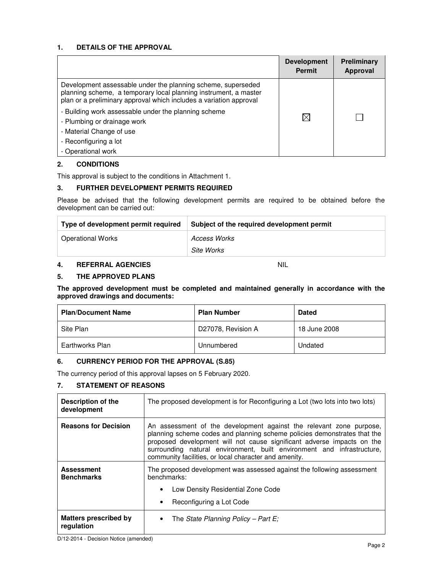#### **1. DETAILS OF THE APPROVAL**

|                                                                                                                                                                                                        | <b>Development</b><br><b>Permit</b> | Preliminary<br><b>Approval</b> |
|--------------------------------------------------------------------------------------------------------------------------------------------------------------------------------------------------------|-------------------------------------|--------------------------------|
| Development assessable under the planning scheme, superseded<br>planning scheme, a temporary local planning instrument, a master<br>plan or a preliminary approval which includes a variation approval |                                     |                                |
| - Building work assessable under the planning scheme<br>- Plumbing or drainage work<br>- Material Change of use                                                                                        | $\boxtimes$                         |                                |
| - Reconfiguring a lot<br>- Operational work                                                                                                                                                            |                                     |                                |

#### **2. CONDITIONS**

This approval is subject to the conditions in Attachment 1.

#### **3. FURTHER DEVELOPMENT PERMITS REQUIRED**

Please be advised that the following development permits are required to be obtained before the development can be carried out:

| Type of development permit required | Subject of the required development permit |
|-------------------------------------|--------------------------------------------|
| <b>Operational Works</b>            | Access Works                               |
|                                     | Site Works                                 |

#### **4. REFERRAL AGENCIES** NIL

#### **5. THE APPROVED PLANS**

#### **The approved development must be completed and maintained generally in accordance with the approved drawings and documents:**

| <b>Plan/Document Name</b> | <b>Plan Number</b> | <b>Dated</b> |
|---------------------------|--------------------|--------------|
| Site Plan                 | D27078, Revision A | 18 June 2008 |
| Earthworks Plan           | Unnumbered         | Undated      |

#### **6. CURRENCY PERIOD FOR THE APPROVAL (S.85)**

The currency period of this approval lapses on 5 February 2020.

#### **7. STATEMENT OF REASONS**

| Description of the<br>development          | The proposed development is for Reconfiguring a Lot (two lots into two lots)                                                                                                                                                                                                                                                                                 |  |  |
|--------------------------------------------|--------------------------------------------------------------------------------------------------------------------------------------------------------------------------------------------------------------------------------------------------------------------------------------------------------------------------------------------------------------|--|--|
| <b>Reasons for Decision</b>                | An assessment of the development against the relevant zone purpose,<br>planning scheme codes and planning scheme policies demonstrates that the<br>proposed development will not cause significant adverse impacts on the<br>surrounding natural environment, built environment and infrastructure,<br>community facilities, or local character and amenity. |  |  |
| <b>Assessment</b><br><b>Benchmarks</b>     | The proposed development was assessed against the following assessment<br>benchmarks:<br>Low Density Residential Zone Code<br>٠<br>Reconfiguring a Lot Code<br>$\bullet$                                                                                                                                                                                     |  |  |
| <b>Matters prescribed by</b><br>regulation | The State Planning Policy – Part E;<br>$\bullet$                                                                                                                                                                                                                                                                                                             |  |  |

D/12-2014 - Decision Notice (amended)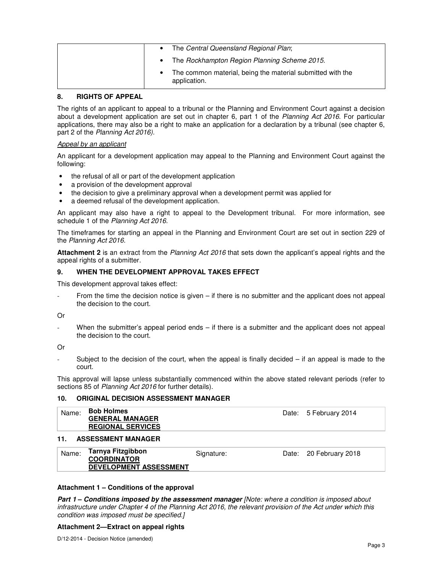|  | The Central Queensland Regional Plan;                                      |
|--|----------------------------------------------------------------------------|
|  | The Rockhampton Region Planning Scheme 2015.                               |
|  | The common material, being the material submitted with the<br>application. |

#### **8. RIGHTS OF APPEAL**

The rights of an applicant to appeal to a tribunal or the Planning and Environment Court against a decision about a development application are set out in chapter 6, part 1 of the Planning Act 2016. For particular applications, there may also be a right to make an application for a declaration by a tribunal (see chapter 6, part 2 of the Planning Act 2016).

#### Appeal by an applicant

An applicant for a development application may appeal to the Planning and Environment Court against the following:

- the refusal of all or part of the development application
- a provision of the development approval
- the decision to give a preliminary approval when a development permit was applied for
- a deemed refusal of the development application.

An applicant may also have a right to appeal to the Development tribunal. For more information, see schedule 1 of the Planning Act 2016.

The timeframes for starting an appeal in the Planning and Environment Court are set out in section 229 of the Planning Act 2016.

**Attachment 2** is an extract from the Planning Act 2016 that sets down the applicant's appeal rights and the appeal rights of a submitter.

#### **9. WHEN THE DEVELOPMENT APPROVAL TAKES EFFECT**

This development approval takes effect:

From the time the decision notice is given – if there is no submitter and the applicant does not appeal the decision to the court.

Or

When the submitter's appeal period ends – if there is a submitter and the applicant does not appeal the decision to the court.

Or

Subject to the decision of the court, when the appeal is finally decided  $-$  if an appeal is made to the court.

This approval will lapse unless substantially commenced within the above stated relevant periods (refer to sections 85 of Planning Act 2016 for further details).

#### **10. ORIGINAL DECISION ASSESSMENT MANAGER**

| <b>Bob Holmes</b><br>Name:<br><b>GENERAL MANAGER</b><br><b>REGIONAL SERVICES</b>  |            | Date: 5 February 2014  |
|-----------------------------------------------------------------------------------|------------|------------------------|
| <b>ASSESSMENT MANAGER</b><br>11.                                                  |            |                        |
| Tarnya Fitzgibbon<br>Name:<br><b>COORDINATOR</b><br><b>DEVELOPMENT ASSESSMENT</b> | Signature: | Date: 20 February 2018 |

#### **Attachment 1 – Conditions of the approval**

**Part 1 – Conditions imposed by the assessment manager** [Note: where a condition is imposed about infrastructure under Chapter 4 of the Planning Act 2016, the relevant provision of the Act under which this condition was imposed must be specified.]

#### **Attachment 2—Extract on appeal rights**

D/12-2014 - Decision Notice (amended)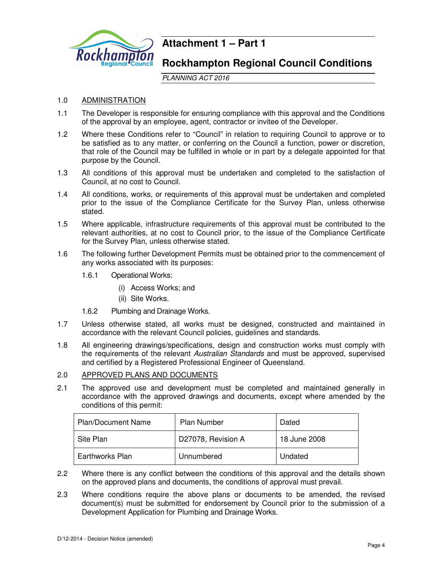

## **Attachment 1 – Part 1**

### **Rockhampton Regional Council Conditions**

PLANNING ACT 2016

#### 1.0 ADMINISTRATION

- 1.1 The Developer is responsible for ensuring compliance with this approval and the Conditions of the approval by an employee, agent, contractor or invitee of the Developer.
- 1.2 Where these Conditions refer to "Council" in relation to requiring Council to approve or to be satisfied as to any matter, or conferring on the Council a function, power or discretion, that role of the Council may be fulfilled in whole or in part by a delegate appointed for that purpose by the Council.
- 1.3 All conditions of this approval must be undertaken and completed to the satisfaction of Council, at no cost to Council.
- 1.4 All conditions, works, or requirements of this approval must be undertaken and completed prior to the issue of the Compliance Certificate for the Survey Plan, unless otherwise stated.
- 1.5 Where applicable, infrastructure requirements of this approval must be contributed to the relevant authorities, at no cost to Council prior, to the issue of the Compliance Certificate for the Survey Plan, unless otherwise stated.
- 1.6 The following further Development Permits must be obtained prior to the commencement of any works associated with its purposes:
	- 1.6.1 Operational Works:
		- (i) Access Works; and
		- (ii) Site Works.
	- 1.6.2 Plumbing and Drainage Works.
- 1.7 Unless otherwise stated, all works must be designed, constructed and maintained in accordance with the relevant Council policies, guidelines and standards.
- 1.8 All engineering drawings/specifications, design and construction works must comply with the requirements of the relevant Australian Standards and must be approved, supervised and certified by a Registered Professional Engineer of Queensland.

### 2.0 APPROVED PLANS AND DOCUMENTS

2.1 The approved use and development must be completed and maintained generally in accordance with the approved drawings and documents, except where amended by the conditions of this permit:

| <b>Plan/Document Name</b> | <b>Plan Number</b> | Dated        |
|---------------------------|--------------------|--------------|
| Site Plan                 | D27078, Revision A | 18 June 2008 |
| Earthworks Plan           | Unnumbered         | Undated      |

- 2.2 Where there is any conflict between the conditions of this approval and the details shown on the approved plans and documents, the conditions of approval must prevail.
- 2.3 Where conditions require the above plans or documents to be amended, the revised document(s) must be submitted for endorsement by Council prior to the submission of a Development Application for Plumbing and Drainage Works.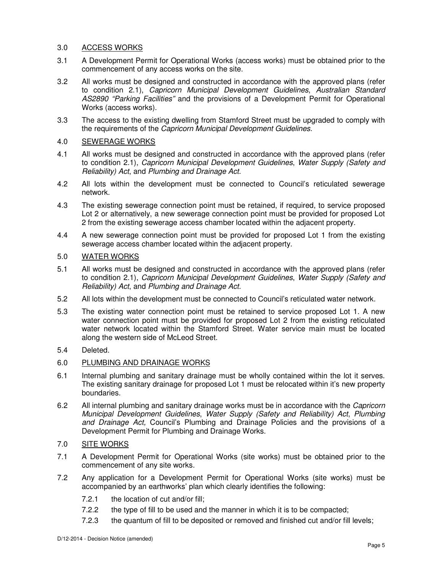#### 3.0 ACCESS WORKS

- 3.1 A Development Permit for Operational Works (access works) must be obtained prior to the commencement of any access works on the site.
- 3.2 All works must be designed and constructed in accordance with the approved plans (refer to condition 2.1), Capricorn Municipal Development Guidelines, Australian Standard AS2890 "Parking Facilities" and the provisions of a Development Permit for Operational Works (access works).
- 3.3 The access to the existing dwelling from Stamford Street must be upgraded to comply with the requirements of the Capricorn Municipal Development Guidelines.

#### 4.0 SEWERAGE WORKS

- 4.1 All works must be designed and constructed in accordance with the approved plans (refer to condition 2.1), Capricorn Municipal Development Guidelines, Water Supply (Safety and Reliability) Act, and Plumbing and Drainage Act.
- 4.2 All lots within the development must be connected to Council's reticulated sewerage network.
- 4.3 The existing sewerage connection point must be retained, if required, to service proposed Lot 2 or alternatively, a new sewerage connection point must be provided for proposed Lot 2 from the existing sewerage access chamber located within the adjacent property.
- 4.4 A new sewerage connection point must be provided for proposed Lot 1 from the existing sewerage access chamber located within the adjacent property.

#### 5.0 WATER WORKS

- 5.1 All works must be designed and constructed in accordance with the approved plans (refer to condition 2.1), Capricorn Municipal Development Guidelines, Water Supply (Safety and Reliability) Act, and Plumbing and Drainage Act.
- 5.2 All lots within the development must be connected to Council's reticulated water network.
- 5.3 The existing water connection point must be retained to service proposed Lot 1. A new water connection point must be provided for proposed Lot 2 from the existing reticulated water network located within the Stamford Street. Water service main must be located along the western side of McLeod Street.

#### 5.4 Deleted.

#### 6.0 PLUMBING AND DRAINAGE WORKS

- 6.1 Internal plumbing and sanitary drainage must be wholly contained within the lot it serves. The existing sanitary drainage for proposed Lot 1 must be relocated within it's new property boundaries.
- 6.2 All internal plumbing and sanitary drainage works must be in accordance with the Capricorn Municipal Development Guidelines, Water Supply (Safety and Reliability) Act, Plumbing and Drainage Act, Council's Plumbing and Drainage Policies and the provisions of a Development Permit for Plumbing and Drainage Works.

#### 7.0 SITE WORKS

- 7.1 A Development Permit for Operational Works (site works) must be obtained prior to the commencement of any site works.
- 7.2 Any application for a Development Permit for Operational Works (site works) must be accompanied by an earthworks' plan which clearly identifies the following:
	- 7.2.1 the location of cut and/or fill;
	- 7.2.2 the type of fill to be used and the manner in which it is to be compacted;
	- 7.2.3 the quantum of fill to be deposited or removed and finished cut and/or fill levels;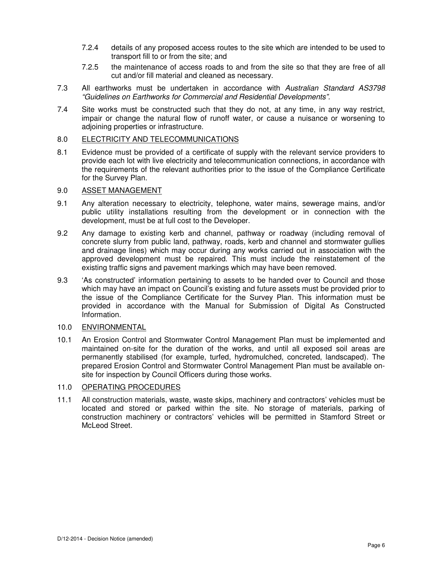- 7.2.4 details of any proposed access routes to the site which are intended to be used to transport fill to or from the site; and
- 7.2.5 the maintenance of access roads to and from the site so that they are free of all cut and/or fill material and cleaned as necessary.
- 7.3 All earthworks must be undertaken in accordance with Australian Standard AS3798 "Guidelines on Earthworks for Commercial and Residential Developments".
- 7.4 Site works must be constructed such that they do not, at any time, in any way restrict, impair or change the natural flow of runoff water, or cause a nuisance or worsening to adjoining properties or infrastructure.

#### 8.0 ELECTRICITY AND TELECOMMUNICATIONS

8.1 Evidence must be provided of a certificate of supply with the relevant service providers to provide each lot with live electricity and telecommunication connections, in accordance with the requirements of the relevant authorities prior to the issue of the Compliance Certificate for the Survey Plan.

#### 9.0 ASSET MANAGEMENT

- 9.1 Any alteration necessary to electricity, telephone, water mains, sewerage mains, and/or public utility installations resulting from the development or in connection with the development, must be at full cost to the Developer.
- 9.2 Any damage to existing kerb and channel, pathway or roadway (including removal of concrete slurry from public land, pathway, roads, kerb and channel and stormwater gullies and drainage lines) which may occur during any works carried out in association with the approved development must be repaired. This must include the reinstatement of the existing traffic signs and pavement markings which may have been removed.
- 9.3 'As constructed' information pertaining to assets to be handed over to Council and those which may have an impact on Council's existing and future assets must be provided prior to the issue of the Compliance Certificate for the Survey Plan. This information must be provided in accordance with the Manual for Submission of Digital As Constructed Information.
- 10.0 ENVIRONMENTAL
- 10.1 An Erosion Control and Stormwater Control Management Plan must be implemented and maintained on-site for the duration of the works, and until all exposed soil areas are permanently stabilised (for example, turfed, hydromulched, concreted, landscaped). The prepared Erosion Control and Stormwater Control Management Plan must be available onsite for inspection by Council Officers during those works.

#### 11.0 OPERATING PROCEDURES

11.1 All construction materials, waste, waste skips, machinery and contractors' vehicles must be located and stored or parked within the site. No storage of materials, parking of construction machinery or contractors' vehicles will be permitted in Stamford Street or McLeod Street.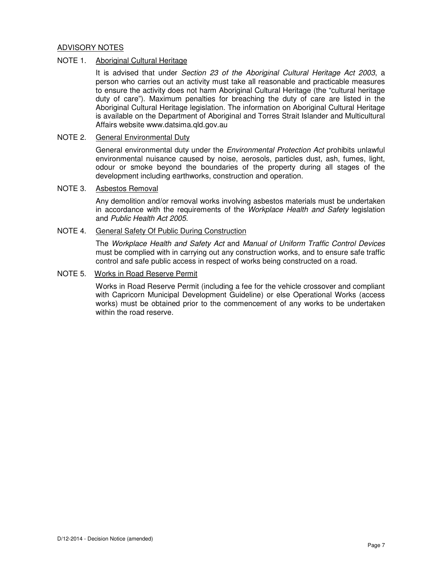#### ADVISORY NOTES

#### NOTE 1. Aboriginal Cultural Heritage

It is advised that under Section 23 of the Aboriginal Cultural Heritage Act 2003, a person who carries out an activity must take all reasonable and practicable measures to ensure the activity does not harm Aboriginal Cultural Heritage (the "cultural heritage duty of care"). Maximum penalties for breaching the duty of care are listed in the Aboriginal Cultural Heritage legislation. The information on Aboriginal Cultural Heritage is available on the Department of Aboriginal and Torres Strait Islander and Multicultural Affairs website www.datsima.qld.gov.au

#### NOTE 2. General Environmental Duty

General environmental duty under the *Environmental Protection Act* prohibits unlawful environmental nuisance caused by noise, aerosols, particles dust, ash, fumes, light, odour or smoke beyond the boundaries of the property during all stages of the development including earthworks, construction and operation.

#### NOTE 3. Asbestos Removal

Any demolition and/or removal works involving asbestos materials must be undertaken in accordance with the requirements of the Workplace Health and Safety legislation and Public Health Act 2005.

#### NOTE 4. General Safety Of Public During Construction

The Workplace Health and Safety Act and Manual of Uniform Traffic Control Devices must be complied with in carrying out any construction works, and to ensure safe traffic control and safe public access in respect of works being constructed on a road.

#### NOTE 5. Works in Road Reserve Permit

Works in Road Reserve Permit (including a fee for the vehicle crossover and compliant with Capricorn Municipal Development Guideline) or else Operational Works (access works) must be obtained prior to the commencement of any works to be undertaken within the road reserve.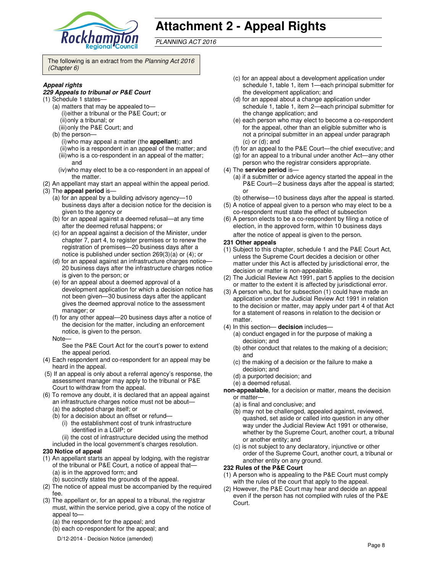

## **Attachment 2 - Appeal Rights**

PLANNING ACT 2016

The following is an extract from the Planning Act 2016 (Chapter 6)

#### **Appeal rights**

#### **229 Appeals to tribunal or P&E Court**

- (1) Schedule 1 states—
	- (a) matters that may be appealed to— (i) either a tribunal or the P&E Court; or (ii) only a tribunal; or
		- (iii) only the P&E Court; and
	- (b) the person—
		- (i) who may appeal a matter (the **appellant**); and
		- (ii) who is a respondent in an appeal of the matter; and (iii) who is a co-respondent in an appeal of the matter;
		- and (iv) who may elect to be a co-respondent in an appeal of the matter.
- (2) An appellant may start an appeal within the appeal period.
- (3) The **appeal period** is—
	- (a) for an appeal by a building advisory agency—10 business days after a decision notice for the decision is given to the agency or
	- (b) for an appeal against a deemed refusal—at any time after the deemed refusal happens; or
	- (c) for an appeal against a decision of the Minister, under chapter 7, part 4, to register premises or to renew the registration of premises—20 business days after a notice is published under section 269(3)(a) or (4); or
	- (d) for an appeal against an infrastructure charges notice— 20 business days after the infrastructure charges notice is given to the person; or
	- (e) for an appeal about a deemed approval of a development application for which a decision notice has not been given—30 business days after the applicant gives the deemed approval notice to the assessment manager; or
	- (f) for any other appeal—20 business days after a notice of the decision for the matter, including an enforcement notice, is given to the person.
	- Note—

See the P&E Court Act for the court's power to extend the appeal period.

- (4) Each respondent and co-respondent for an appeal may be heard in the appeal.
- (5) If an appeal is only about a referral agency's response, the assessment manager may apply to the tribunal or P&E Court to withdraw from the appeal.
- (6) To remove any doubt, it is declared that an appeal against an infrastructure charges notice must not be about—
	- (a) the adopted charge itself; or
	- (b) for a decision about an offset or refund—
		- (i) the establishment cost of trunk infrastructure identified in a LGIP; or
	- (ii) the cost of infrastructure decided using the method included in the local government's charges resolution.

#### **230 Notice of appeal**

- (1) An appellant starts an appeal by lodging, with the registrar of the tribunal or P&E Court, a notice of appeal that— (a) is in the approved form; and
	- (b) succinctly states the grounds of the appeal.
- (2) The notice of appeal must be accompanied by the required fee.
- (3) The appellant or, for an appeal to a tribunal, the registrar must, within the service period, give a copy of the notice of appeal to—
	- (a) the respondent for the appeal; and
	- (b) each co-respondent for the appeal; and
	- D/12-2014 Decision Notice (amended)
- (c) for an appeal about a development application under schedule 1, table 1, item 1—each principal submitter for the development application; and
- (d) for an appeal about a change application under schedule 1, table 1, item 2—each principal submitter for the change application; and
- (e) each person who may elect to become a co-respondent for the appeal, other than an eligible submitter who is not a principal submitter in an appeal under paragraph  $(c)$  or  $(d)$ ; and
- (f) for an appeal to the P&E Court—the chief executive; and
- (g) for an appeal to a tribunal under another Act—any other person who the registrar considers appropriate.
- (4) The **service period** is—
	- (a) if a submitter or advice agency started the appeal in the P&E Court—2 business days after the appeal is started; or
	- (b) otherwise—10 business days after the appeal is started.
- (5) A notice of appeal given to a person who may elect to be a co-respondent must state the effect of subsection
- (6) A person elects to be a co-respondent by filing a notice of election, in the approved form, within 10 business days after the notice of appeal is given to the person*.*
- **231 Other appeals**
- (1) Subject to this chapter, schedule 1 and the P&E Court Act, unless the Supreme Court decides a decision or other matter under this Act is affected by jurisdictional error, the decision or matter is non-appealable.
- (2) The Judicial Review Act 1991, part 5 applies to the decision or matter to the extent it is affected by jurisdictional error.
- (3) A person who, but for subsection (1) could have made an application under the Judicial Review Act 1991 in relation to the decision or matter, may apply under part 4 of that Act for a statement of reasons in relation to the decision or matter.
- (4) In this section— **decision** includes—
	- (a) conduct engaged in for the purpose of making a decision; and
	- (b) other conduct that relates to the making of a decision; and
	- (c) the making of a decision or the failure to make a decision; and
	- (d) a purported decision; and
	- (e) a deemed refusal.

**non-appealable**, for a decision or matter, means the decision or matter—

- (a) is final and conclusive; and
- (b) may not be challenged, appealed against, reviewed, quashed, set aside or called into question in any other way under the Judicial Review Act 1991 or otherwise, whether by the Supreme Court, another court, a tribunal or another entity; and
- (c) is not subject to any declaratory, injunctive or other order of the Supreme Court, another court, a tribunal or another entity on any ground.

#### **232 Rules of the P&E Court**

- (1) A person who is appealing to the P&E Court must comply with the rules of the court that apply to the appeal.
- (2) However, the P&E Court may hear and decide an appeal even if the person has not complied with rules of the P&E Court.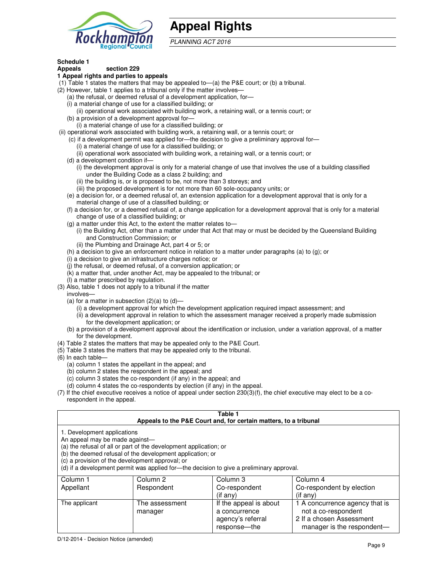

## **Appeal Rights**

PLANNING ACT 2016

#### **Schedule 1**

#### **Appeals section 229 1 Appeal rights and parties to appeals**

- (1) Table 1 states the matters that may be appealed to—(a) the P&E court; or (b) a tribunal.
- (2) However, table 1 applies to a tribunal only if the matter involves—
	- (a) the refusal, or deemed refusal of a development application, for—
	- (i) a material change of use for a classified building; or
	- (ii) operational work associated with building work, a retaining wall, or a tennis court; or (b) a provision of a development approval for—
	- (i) a material change of use for a classified building; or
- (ii) operational work associated with building work, a retaining wall, or a tennis court; or
	- (c) if a development permit was applied for—the decision to give a preliminary approval for—
		- (i) a material change of use for a classified building; or
		- (ii) operational work associated with building work, a retaining wall, or a tennis court; or
	- (d) a development condition if—
		- (i) the development approval is only for a material change of use that involves the use of a building classified under the Building Code as a class 2 building; and
		- (ii) the building is, or is proposed to be, not more than 3 storeys; and
		- (iii) the proposed development is for not more than 60 sole-occupancy units; or
	- (e) a decision for, or a deemed refusal of, an extension application for a development approval that is only for a material change of use of a classified building; or
	- (f) a decision for, or a deemed refusal of, a change application for a development approval that is only for a material change of use of a classified building; or
	- (g) a matter under this Act, to the extent the matter relates to—
		- (i) the Building Act, other than a matter under that Act that may or must be decided by the Queensland Building and Construction Commission; or
		- (ii) the Plumbing and Drainage Act, part 4 or 5; or
	- (h) a decision to give an enforcement notice in relation to a matter under paragraphs (a) to (g); or
	- (i) a decision to give an infrastructure charges notice; or
	- (j) the refusal, or deemed refusal, of a conversion application; or
	- (k) a matter that, under another Act, may be appealed to the tribunal; or
	- (l) a matter prescribed by regulation.
- (3) Also, table 1 does not apply to a tribunal if the matter
- involves—
	- (a) for a matter in subsection  $(2)(a)$  to  $(d)$ 
		- (i) a development approval for which the development application required impact assessment; and
		- (ii) a development approval in relation to which the assessment manager received a properly made submission for the development application; or
	- (b) a provision of a development approval about the identification or inclusion, under a variation approval, of a matter for the development.
- (4) Table 2 states the matters that may be appealed only to the P&E Court.
- (5) Table 3 states the matters that may be appealed only to the tribunal.
- (6) In each table—
	- (a) column 1 states the appellant in the appeal; and
	- (b) column 2 states the respondent in the appeal; and
	- (c) column 3 states the co-respondent (if any) in the appeal; and
	- (d) column 4 states the co-respondents by election (if any) in the appeal.
- (7) If the chief executive receives a notice of appeal under section 230(3)(f), the chief executive may elect to be a corespondent in the appeal.

| Table 1<br>Appeals to the P&E Court and, for certain matters, to a tribunal                                                                                                                                                                                                                                                                    |                           |                                                              |                                                                                   |
|------------------------------------------------------------------------------------------------------------------------------------------------------------------------------------------------------------------------------------------------------------------------------------------------------------------------------------------------|---------------------------|--------------------------------------------------------------|-----------------------------------------------------------------------------------|
| 1. Development applications<br>An appeal may be made against-<br>(a) the refusal of all or part of the development application; or<br>(b) the deemed refusal of the development application; or<br>(c) a provision of the development approval; or<br>(d) if a development permit was applied for-the decision to give a preliminary approval. |                           |                                                              |                                                                                   |
| Column 1                                                                                                                                                                                                                                                                                                                                       | Column 2                  | Column 3                                                     | Column 4                                                                          |
| Appellant                                                                                                                                                                                                                                                                                                                                      | Respondent                | Co-respondent<br>$($ if any $)$                              | Co-respondent by election<br>$($ if any $)$                                       |
| The applicant                                                                                                                                                                                                                                                                                                                                  | The assessment<br>manager | If the appeal is about<br>a concurrence<br>agency's referral | 1 A concurrence agency that is<br>not a co-respondent<br>2 If a chosen Assessment |

response—the

manager is the respondent-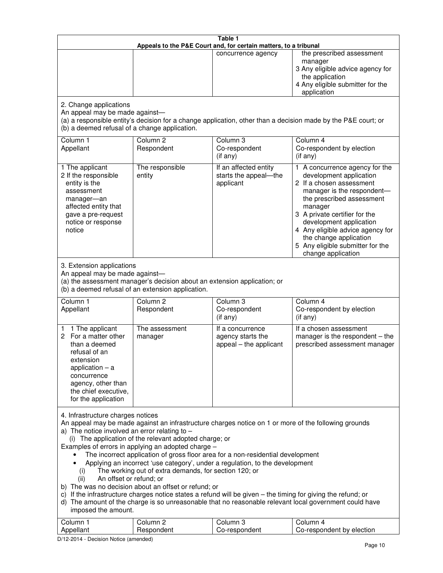| Table 1<br>Appeals to the P&E Court and, for certain matters, to a tribunal                                                                                                                                                                                                                                                                                                                                                                                                                                                                                                                                                                                                                                                                                                                                                                                                                                                                                       |                                   |                                                                 |                                                                                                                                                                                                                                                                                                                                                 |  |
|-------------------------------------------------------------------------------------------------------------------------------------------------------------------------------------------------------------------------------------------------------------------------------------------------------------------------------------------------------------------------------------------------------------------------------------------------------------------------------------------------------------------------------------------------------------------------------------------------------------------------------------------------------------------------------------------------------------------------------------------------------------------------------------------------------------------------------------------------------------------------------------------------------------------------------------------------------------------|-----------------------------------|-----------------------------------------------------------------|-------------------------------------------------------------------------------------------------------------------------------------------------------------------------------------------------------------------------------------------------------------------------------------------------------------------------------------------------|--|
|                                                                                                                                                                                                                                                                                                                                                                                                                                                                                                                                                                                                                                                                                                                                                                                                                                                                                                                                                                   |                                   | concurrence agency                                              | the prescribed assessment<br>manager<br>3 Any eligible advice agency for<br>the application<br>4 Any eligible submitter for the<br>application                                                                                                                                                                                                  |  |
| 2. Change applications<br>An appeal may be made against-<br>(b) a deemed refusal of a change application.                                                                                                                                                                                                                                                                                                                                                                                                                                                                                                                                                                                                                                                                                                                                                                                                                                                         |                                   |                                                                 | (a) a responsible entity's decision for a change application, other than a decision made by the P&E court; or                                                                                                                                                                                                                                   |  |
| Column 1<br>Appellant                                                                                                                                                                                                                                                                                                                                                                                                                                                                                                                                                                                                                                                                                                                                                                                                                                                                                                                                             | Column <sub>2</sub><br>Respondent | Column <sub>3</sub><br>Co-respondent<br>(if any)                | Column 4<br>Co-respondent by election<br>(if any)                                                                                                                                                                                                                                                                                               |  |
| 1 The applicant<br>2 If the responsible<br>entity is the<br>assessment<br>manager-an<br>affected entity that<br>gave a pre-request<br>notice or response<br>notice                                                                                                                                                                                                                                                                                                                                                                                                                                                                                                                                                                                                                                                                                                                                                                                                | The responsible<br>entity         | If an affected entity<br>starts the appeal-the<br>applicant     | 1 A concurrence agency for the<br>development application<br>2 If a chosen assessment<br>manager is the respondent-<br>the prescribed assessment<br>manager<br>3 A private certifier for the<br>development application<br>4 Any eligible advice agency for<br>the change application<br>5 Any eligible submitter for the<br>change application |  |
| 3. Extension applications<br>An appeal may be made against-<br>(a) the assessment manager's decision about an extension application; or<br>(b) a deemed refusal of an extension application.                                                                                                                                                                                                                                                                                                                                                                                                                                                                                                                                                                                                                                                                                                                                                                      |                                   |                                                                 |                                                                                                                                                                                                                                                                                                                                                 |  |
| Column 1<br>Appellant                                                                                                                                                                                                                                                                                                                                                                                                                                                                                                                                                                                                                                                                                                                                                                                                                                                                                                                                             | Column <sub>2</sub><br>Respondent | Column 3<br>Co-respondent<br>(if any)                           | Column 4<br>Co-respondent by election<br>(if any)                                                                                                                                                                                                                                                                                               |  |
| 1 The applicant<br>1.<br>For a matter other<br>2<br>than a deemed<br>refusal of an<br>extension<br>application $-$ a<br>concurrence<br>agency, other than<br>the chief executive,<br>for the application                                                                                                                                                                                                                                                                                                                                                                                                                                                                                                                                                                                                                                                                                                                                                          | The assessment<br>manager         | If a concurrence<br>agency starts the<br>appeal - the applicant | If a chosen assessment<br>manager is the respondent - the<br>prescribed assessment manager                                                                                                                                                                                                                                                      |  |
| 4. Infrastructure charges notices<br>An appeal may be made against an infrastructure charges notice on 1 or more of the following grounds<br>a) The notice involved an error relating to $-$<br>(i) The application of the relevant adopted charge; or<br>Examples of errors in applying an adopted charge -<br>The incorrect application of gross floor area for a non-residential development<br>Applying an incorrect 'use category', under a regulation, to the development<br>The working out of extra demands, for section 120; or<br>(i)<br>An offset or refund; or<br>(ii)<br>b) The was no decision about an offset or refund; or<br>c) If the infrastructure charges notice states a refund will be given - the timing for giving the refund; or<br>d) The amount of the charge is so unreasonable that no reasonable relevant local government could have<br>imposed the amount.<br>Column 1<br>Column <sub>2</sub><br>Column <sub>3</sub><br>Column 4 |                                   |                                                                 |                                                                                                                                                                                                                                                                                                                                                 |  |
| Appellant                                                                                                                                                                                                                                                                                                                                                                                                                                                                                                                                                                                                                                                                                                                                                                                                                                                                                                                                                         | Respondent                        | Co-respondent                                                   | Co-respondent by election                                                                                                                                                                                                                                                                                                                       |  |

D/12-2014 - Decision Notice (amended)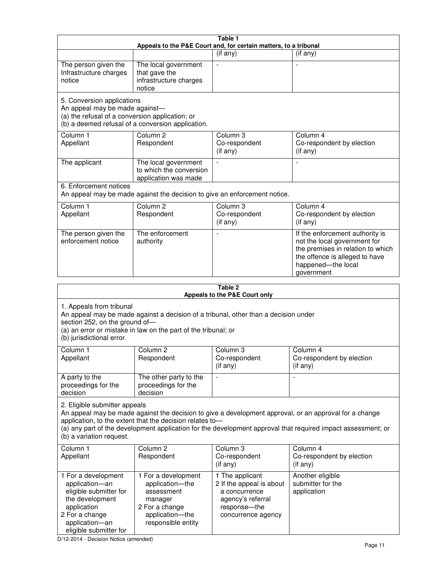| Table 1<br>Appeals to the P&E Court and, for certain matters, to a tribunal                                                                                                                                                                                                                                                                     |                                                                                                                            |                                                                                                                         |                                                                                                                                                                            |  |
|-------------------------------------------------------------------------------------------------------------------------------------------------------------------------------------------------------------------------------------------------------------------------------------------------------------------------------------------------|----------------------------------------------------------------------------------------------------------------------------|-------------------------------------------------------------------------------------------------------------------------|----------------------------------------------------------------------------------------------------------------------------------------------------------------------------|--|
|                                                                                                                                                                                                                                                                                                                                                 |                                                                                                                            | (if any)                                                                                                                | $($ if any $)$                                                                                                                                                             |  |
| The person given the<br>Infrastructure charges<br>notice                                                                                                                                                                                                                                                                                        | The local government<br>that gave the<br>infrastructure charges<br>notice                                                  |                                                                                                                         |                                                                                                                                                                            |  |
| 5. Conversion applications<br>An appeal may be made against-<br>(a) the refusal of a conversion application; or<br>(b) a deemed refusal of a conversion application.                                                                                                                                                                            |                                                                                                                            |                                                                                                                         |                                                                                                                                                                            |  |
| Column 1<br>Appellant                                                                                                                                                                                                                                                                                                                           | Column <sub>2</sub><br>Respondent                                                                                          | Column 3<br>Co-respondent<br>(if any)                                                                                   | Column 4<br>Co-respondent by election<br>(if any)                                                                                                                          |  |
| The applicant                                                                                                                                                                                                                                                                                                                                   | The local government<br>to which the conversion<br>application was made                                                    |                                                                                                                         | $\blacksquare$                                                                                                                                                             |  |
| 6. Enforcement notices                                                                                                                                                                                                                                                                                                                          | An appeal may be made against the decision to give an enforcement notice.                                                  |                                                                                                                         |                                                                                                                                                                            |  |
| Column 1<br>Appellant                                                                                                                                                                                                                                                                                                                           | Column <sub>2</sub><br>Respondent                                                                                          | Column 3<br>Co-respondent<br>(if any)                                                                                   | Column 4<br>Co-respondent by election<br>(if any)                                                                                                                          |  |
| The person given the<br>enforcement notice                                                                                                                                                                                                                                                                                                      | The enforcement<br>authority                                                                                               |                                                                                                                         | If the enforcement authority is<br>not the local government for<br>the premises in relation to which<br>the offence is alleged to have<br>happened-the local<br>government |  |
| Table 2<br>Appeals to the P&E Court only                                                                                                                                                                                                                                                                                                        |                                                                                                                            |                                                                                                                         |                                                                                                                                                                            |  |
| 1. Appeals from tribunal<br>An appeal may be made against a decision of a tribunal, other than a decision under<br>section 252, on the ground of-<br>(a) an error or mistake in law on the part of the tribunal; or<br>(b) jurisdictional error.                                                                                                |                                                                                                                            |                                                                                                                         |                                                                                                                                                                            |  |
| Column 1<br>Appellant                                                                                                                                                                                                                                                                                                                           | Column 2<br>Respondent                                                                                                     | Column 3<br>Co-respondent<br>(if any)                                                                                   | Column 4<br>Co-respondent by election<br>$($ if any $)$                                                                                                                    |  |
| A party to the<br>proceedings for the<br>decision                                                                                                                                                                                                                                                                                               | The other party to the<br>proceedings for the<br>decision                                                                  |                                                                                                                         |                                                                                                                                                                            |  |
| 2. Eligible submitter appeals<br>An appeal may be made against the decision to give a development approval, or an approval for a change<br>application, to the extent that the decision relates to-<br>(a) any part of the development application for the development approval that required impact assessment; or<br>(b) a variation request. |                                                                                                                            |                                                                                                                         |                                                                                                                                                                            |  |
| Column <sub>1</sub><br>Appellant                                                                                                                                                                                                                                                                                                                | Column <sub>2</sub><br>Respondent                                                                                          | Column 3<br>Co-respondent<br>(if any)                                                                                   | Column 4<br>Co-respondent by election<br>(i f any)                                                                                                                         |  |
| 1 For a development<br>application-an<br>eligible submitter for<br>the development<br>application<br>2 For a change<br>application-an                                                                                                                                                                                                           | 1 For a development<br>application-the<br>assessment<br>manager<br>2 For a change<br>application-the<br>responsible entity | 1 The applicant<br>2 If the appeal is about<br>a concurrence<br>agency's referral<br>response-the<br>concurrence agency | Another eligible<br>submitter for the<br>application                                                                                                                       |  |

D/12-2014 - Decision Notice (amended)

eligible submitter for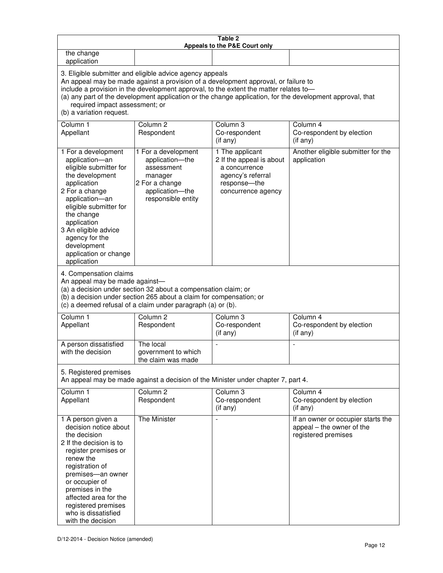| Table 2<br>Appeals to the P&E Court only                                                                                                                                                                                                                                                                                                                                                                           |                                                                                                                            |                                                                                                                         |                                                                                        |
|--------------------------------------------------------------------------------------------------------------------------------------------------------------------------------------------------------------------------------------------------------------------------------------------------------------------------------------------------------------------------------------------------------------------|----------------------------------------------------------------------------------------------------------------------------|-------------------------------------------------------------------------------------------------------------------------|----------------------------------------------------------------------------------------|
| the change<br>application                                                                                                                                                                                                                                                                                                                                                                                          |                                                                                                                            |                                                                                                                         |                                                                                        |
| 3. Eligible submitter and eligible advice agency appeals<br>An appeal may be made against a provision of a development approval, or failure to<br>include a provision in the development approval, to the extent the matter relates to-<br>(a) any part of the development application or the change application, for the development approval, that<br>required impact assessment; or<br>(b) a variation request. |                                                                                                                            |                                                                                                                         |                                                                                        |
| Column 1<br>Appellant                                                                                                                                                                                                                                                                                                                                                                                              | Column <sub>2</sub><br>Respondent                                                                                          | Column 3<br>Co-respondent<br>(if any)                                                                                   | Column 4<br>Co-respondent by election<br>(if any)                                      |
| 1 For a development<br>application-an<br>eligible submitter for<br>the development<br>application<br>2 For a change<br>application-an<br>eligible submitter for<br>the change<br>application<br>3 An eligible advice<br>agency for the<br>development<br>application or change<br>application                                                                                                                      | 1 For a development<br>application-the<br>assessment<br>manager<br>2 For a change<br>application-the<br>responsible entity | 1 The applicant<br>2 If the appeal is about<br>a concurrence<br>agency's referral<br>response-the<br>concurrence agency | Another eligible submitter for the<br>application                                      |
| 4. Compensation claims<br>An appeal may be made against-<br>(a) a decision under section 32 about a compensation claim; or<br>(b) a decision under section 265 about a claim for compensation; or<br>(c) a deemed refusal of a claim under paragraph (a) or (b).                                                                                                                                                   |                                                                                                                            |                                                                                                                         |                                                                                        |
| Column <sub>1</sub><br>Appellant                                                                                                                                                                                                                                                                                                                                                                                   | Column <sub>2</sub><br>Respondent                                                                                          | Column 3<br>Co-respondent<br>(if any)                                                                                   | Column 4<br>Co-respondent by election<br>(if any)                                      |
| A person dissatisfied<br>with the decision                                                                                                                                                                                                                                                                                                                                                                         | The local<br>government to which<br>the claim was made                                                                     | ÷,                                                                                                                      | $\overline{a}$                                                                         |
| 5. Registered premises<br>An appeal may be made against a decision of the Minister under chapter 7, part 4.                                                                                                                                                                                                                                                                                                        |                                                                                                                            |                                                                                                                         |                                                                                        |
| Column <sub>1</sub><br>Appellant                                                                                                                                                                                                                                                                                                                                                                                   | Column <sub>2</sub><br>Respondent                                                                                          | Column <sub>3</sub><br>Co-respondent<br>(if any)                                                                        | Column 4<br>Co-respondent by election<br>(if any)                                      |
| 1 A person given a<br>decision notice about<br>the decision<br>2 If the decision is to<br>register premises or<br>renew the<br>registration of<br>premises-an owner<br>or occupier of<br>premises in the<br>affected area for the<br>registered premises<br>who is dissatisfied<br>with the decision                                                                                                               | <b>The Minister</b>                                                                                                        |                                                                                                                         | If an owner or occupier starts the<br>appeal - the owner of the<br>registered premises |